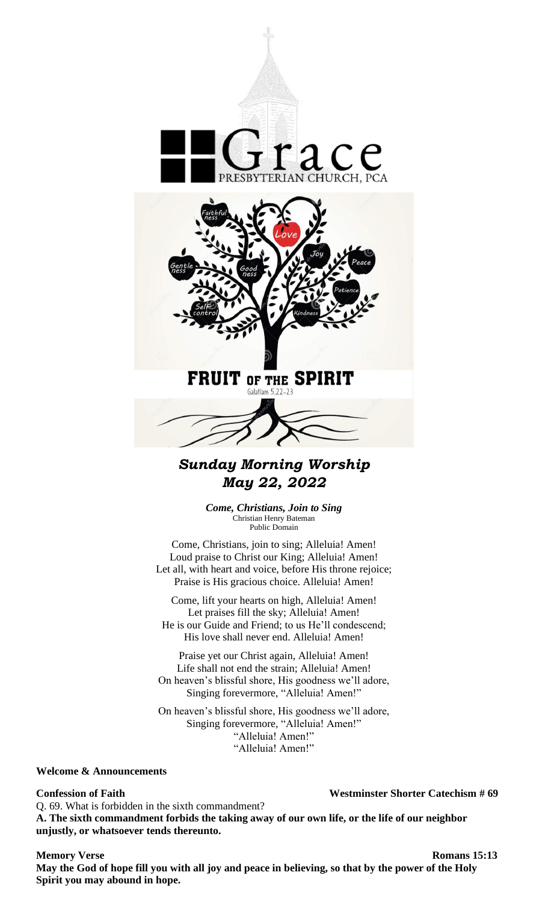

# *Sunday Morning Worship May 22, 2022*

*Come, Christians, Join to Sing* Christian Henry Bateman Public Domain

Come, Christians, join to sing; Alleluia! Amen! Loud praise to Christ our King; Alleluia! Amen! Let all, with heart and voice, before His throne rejoice; Praise is His gracious choice. Alleluia! Amen!

Come, lift your hearts on high, Alleluia! Amen! Let praises fill the sky; Alleluia! Amen! He is our Guide and Friend; to us He'll condescend; His love shall never end. Alleluia! Amen!

Praise yet our Christ again, Alleluia! Amen! Life shall not end the strain; Alleluia! Amen! On heaven's blissful shore, His goodness we'll adore, Singing forevermore, "Alleluia! Amen!"

On heaven's blissful shore, His goodness we'll adore, Singing forevermore, "Alleluia! Amen!" "Alleluia! Amen!" "Alleluia! Amen!"

**Welcome & Announcements**

**Confession of Faith Westminster Shorter Catechism # 69**

Q. 69. What is forbidden in the sixth commandment? **A. The sixth commandment forbids the taking away of our own life, or the life of our neighbor unjustly, or whatsoever tends thereunto.**

**Memory Verse** Romans 15:13 **May the God of hope fill you with all joy and peace in believing, so that by the power of the Holy Spirit you may abound in hope.**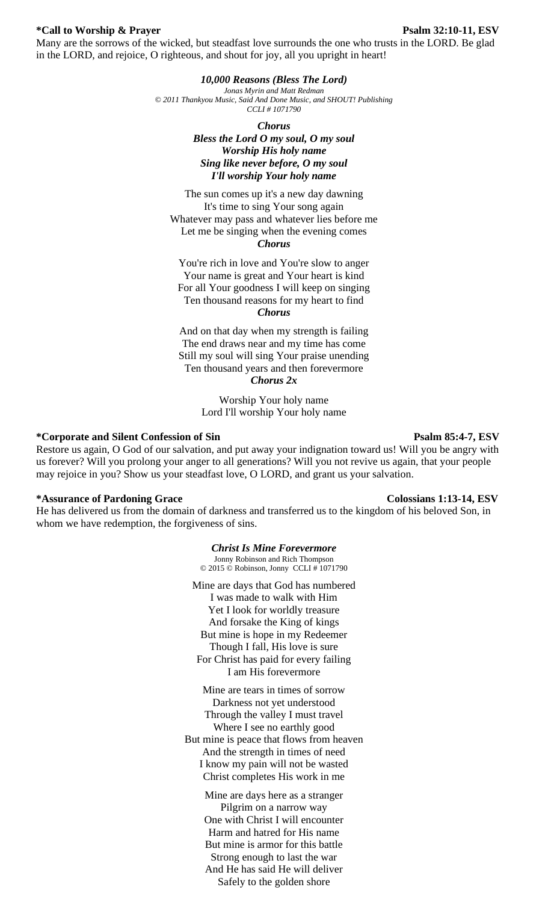#### **\*Call to Worship & Prayer Psalm 32:10-11, ESV**

Many are the sorrows of the wicked, but steadfast love surrounds the one who trusts in the LORD. Be glad in the LORD, and rejoice, O righteous, and shout for joy, all you upright in heart!

#### *10,000 Reasons (Bless The Lord)*

*Jonas Myrin and Matt Redman © 2011 Thankyou Music, Said And Done Music, and SHOUT! Publishing CCLI # 1071790*

*Chorus*

*Bless the Lord O my soul, O my soul Worship His holy name Sing like never before, O my soul I'll worship Your holy name*

The sun comes up it's a new day dawning It's time to sing Your song again Whatever may pass and whatever lies before me Let me be singing when the evening comes *Chorus*

You're rich in love and You're slow to anger Your name is great and Your heart is kind For all Your goodness I will keep on singing Ten thousand reasons for my heart to find *Chorus*

And on that day when my strength is failing The end draws near and my time has come Still my soul will sing Your praise unending Ten thousand years and then forevermore *Chorus 2x*

> Worship Your holy name Lord I'll worship Your holy name

#### **\*Corporate and Silent Confession of Sin Psalm 85:4-7, ESV**

Restore us again, O God of our salvation, and put away your indignation toward us! Will you be angry with us forever? Will you prolong your anger to all generations? Will you not revive us again, that your people may rejoice in you? Show us your steadfast love, O LORD, and grant us your salvation.

#### **\*Assurance of Pardoning Grace Colossians 1:13-14, ESV**

He has delivered us from the domain of darkness and transferred us to the kingdom of his beloved Son, in whom we have redemption, the forgiveness of sins.

> *Christ Is Mine Forevermore* Jonny Robinson and Rich Thompson © 2015 © Robinson, Jonny CCLI # 1071790

Mine are days that God has numbered I was made to walk with Him Yet I look for worldly treasure And forsake the King of kings But mine is hope in my Redeemer Though I fall, His love is sure For Christ has paid for every failing I am His forevermore

Mine are tears in times of sorrow Darkness not yet understood Through the valley I must travel Where I see no earthly good But mine is peace that flows from heaven And the strength in times of need I know my pain will not be wasted Christ completes His work in me

> Mine are days here as a stranger Pilgrim on a narrow way One with Christ I will encounter Harm and hatred for His name But mine is armor for this battle Strong enough to last the war And He has said He will deliver Safely to the golden shore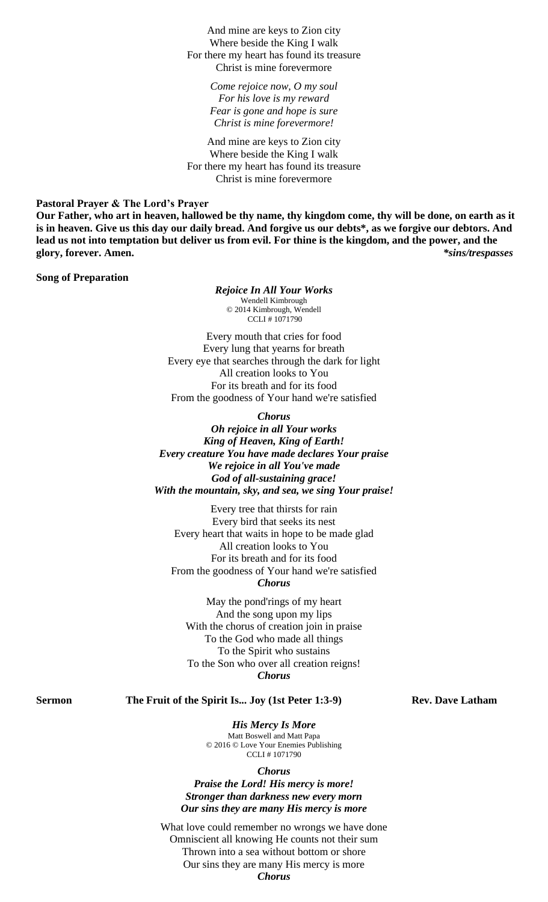And mine are keys to Zion city Where beside the King I walk For there my heart has found its treasure Christ is mine forevermore

> *Come rejoice now, O my soul For his love is my reward Fear is gone and hope is sure Christ is mine forevermore!*

And mine are keys to Zion city Where beside the King I walk For there my heart has found its treasure Christ is mine forevermore

### **Pastoral Prayer & The Lord's Prayer**

**Our Father, who art in heaven, hallowed be thy name, thy kingdom come, thy will be done, on earth as it is in heaven. Give us this day our daily bread. And forgive us our debts\*, as we forgive our debtors. And lead us not into temptation but deliver us from evil. For thine is the kingdom, and the power, and the glory, forever. Amen.** *\*sins/trespasses*

**Song of Preparation** 

*Rejoice In All Your Works* Wendell Kimbrough © 2014 Kimbrough, Wendell CCLI # 1071790

Every mouth that cries for food Every lung that yearns for breath Every eye that searches through the dark for light All creation looks to You For its breath and for its food From the goodness of Your hand we're satisfied

*Chorus*

*Oh rejoice in all Your works King of Heaven, King of Earth! Every creature You have made declares Your praise We rejoice in all You've made God of all-sustaining grace! With the mountain, sky, and sea, we sing Your praise!*

Every tree that thirsts for rain Every bird that seeks its nest Every heart that waits in hope to be made glad All creation looks to You For its breath and for its food From the goodness of Your hand we're satisfied *Chorus*

May the pond'rings of my heart And the song upon my lips With the chorus of creation join in praise To the God who made all things To the Spirit who sustains To the Son who over all creation reigns! *Chorus*

**Sermon** The Fruit of the Spirit Is... Joy (1st Peter 1:3-9) Rev. Dave Latham

*His Mercy Is More*  Matt Boswell and Matt Papa © 2016 © Love Your Enemies Publishing CCLI # 1071790

#### *Chorus*

*Praise the Lord! His mercy is more! Stronger than darkness new every morn Our sins they are many His mercy is more*

What love could remember no wrongs we have done Omniscient all knowing He counts not their sum Thrown into a sea without bottom or shore Our sins they are many His mercy is more *Chorus*